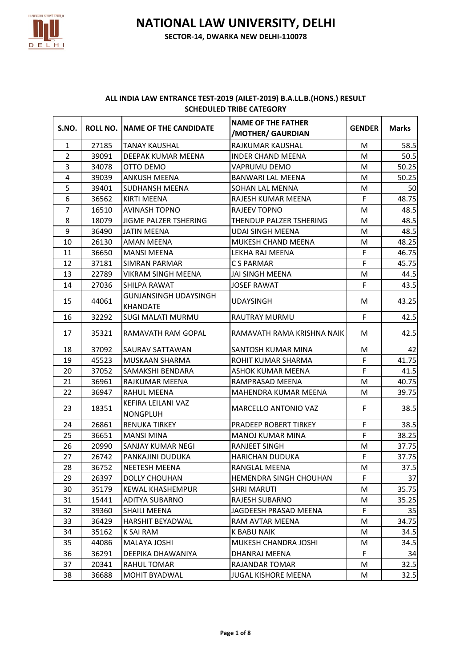

| ALL INDIA LAW ENTRANCE TEST-2019 (AILET-2019) B.A.LL.B. (HONS.) RESULT |
|------------------------------------------------------------------------|
| <b>SCHEDULED TRIBE CATEGORY</b>                                        |

| S.NO.          |       | ROLL NO. INAME OF THE CANDIDATE          | <b>NAME OF THE FATHER</b><br>/MOTHER/ GAURDIAN | <b>GENDER</b> | <b>Marks</b> |
|----------------|-------|------------------------------------------|------------------------------------------------|---------------|--------------|
| $\mathbf{1}$   | 27185 | <b>TANAY KAUSHAL</b>                     | RAJKUMAR KAUSHAL                               | M             | 58.5         |
| $\overline{2}$ | 39091 | DEEPAK KUMAR MEENA                       | <b>INDER CHAND MEENA</b>                       | M             | 50.5         |
| 3              | 34078 | OTTO DEMO                                | VAPRUMU DEMO                                   | M             | 50.25        |
| 4              | 39039 | <b>ANKUSH MEENA</b>                      | <b>BANWARI LAL MEENA</b>                       | M             | 50.25        |
| 5              | 39401 | <b>SUDHANSH MEENA</b>                    | SOHAN LAL MENNA                                | M             | 50           |
| 6              | 36562 | KIRTI MEENA                              | RAJESH KUMAR MEENA                             | F             | 48.75        |
| $\overline{7}$ | 16510 | <b>AVINASH TOPNO</b>                     | RAJEEV TOPNO                                   | M             | 48.5         |
| 8              | 18079 | JIGME PALZER TSHERING                    | THENDUP PALZER TSHERING                        | M             | 48.5         |
| 9              | 36490 | <b>JATIN MEENA</b>                       | UDAI SINGH MEENA                               | М             | 48.5         |
| 10             | 26130 | <b>AMAN MEENA</b>                        | <b>MUKESH CHAND MEENA</b>                      | M             | 48.25        |
| 11             | 36650 | <b>MANSI MEENA</b>                       | LEKHA RAJ MEENA                                | F             | 46.75        |
| 12             | 37181 | <b>SIMRAN PARMAR</b>                     | C S PARMAR                                     | F             | 45.75        |
| 13             | 22789 | <b>VIKRAM SINGH MEENA</b>                | JAI SINGH MEENA                                | M             | 44.5         |
| 14             | 27036 | SHILPA RAWAT                             | <b>JOSEF RAWAT</b>                             | F             | 43.5         |
| 15             | 44061 | <b>GUNJANSINGH UDAYSINGH</b><br>KHANDATE | <b>UDAYSINGH</b>                               | M             | 43.25        |
| 16             | 32292 | <b>SUGI MALATI MURMU</b>                 | RAUTRAY MURMU                                  | F             | 42.5         |
| 17             | 35321 | RAMAVATH RAM GOPAL                       | RAMAVATH RAMA KRISHNA NAIK                     | M             | 42.5         |
| 18             | 37092 | SAURAV SATTAWAN                          | SANTOSH KUMAR MINA                             | M             | 42           |
| 19             | 45523 | <b>MUSKAAN SHARMA</b>                    | ROHIT KUMAR SHARMA                             | F             | 41.75        |
| 20             | 37052 | SAMAKSHI BENDARA                         | ASHOK KUMAR MEENA                              | $\mathsf F$   | 41.5         |
| 21             | 36961 | RAJKUMAR MEENA                           | RAMPRASAD MEENA                                | M             | 40.75        |
| 22             | 36947 | RAHUL MEENA                              | MAHENDRA KUMAR MEENA                           | M             | 39.75        |
| 23             | 18351 | KEFIRA LEILANI VAZ<br><b>NONGPLUH</b>    | MARCELLO ANTONIO VAZ                           | F             | 38.5         |
| 24             | 26861 | <b>RENUKA TIRKEY</b>                     | PRADEEP ROBERT TIRKEY                          | F             | 38.5         |
| 25             | 36651 | <b>MANSI MINA</b>                        | <b>MANOJ KUMAR MINA</b>                        | F             | 38.25        |
| 26             | 20990 | <b>SANJAY KUMAR NEGI</b>                 | <b>RANJEET SINGH</b>                           | M             | 37.75        |
| 27             | 26742 | PANKAJINI DUDUKA                         | <b>HARICHAN DUDUKA</b>                         | F             | 37.75        |
| 28             | 36752 | <b>NEETESH MEENA</b>                     | RANGLAL MEENA                                  | M             | 37.5         |
| 29             | 26397 | DOLLY CHOUHAN                            | HEMENDRA SINGH CHOUHAN                         | F             | 37           |
| 30             | 35179 | KEWAL KHASHEMPUR                         | <b>SHRI MARUTI</b>                             | M             | 35.75        |
| 31             | 15441 | ADITYA SUBARNO                           | RAJESH SUBARNO                                 | M             | 35.25        |
| 32             | 39360 | <b>SHAILI MEENA</b>                      | JAGDEESH PRASAD MEENA                          | F             | 35           |
| 33             | 36429 | HARSHIT BEYADWAL                         | RAM AVTAR MEENA                                | M             | 34.75        |
| 34             | 35162 | K SAI RAM                                | <b>K BABU NAIK</b>                             | M             | 34.5         |
| 35             | 44086 | MALAYA JOSHI                             | MUKESH CHANDRA JOSHI                           | M             | 34.5         |
| 36             | 36291 | DEEPIKA DHAWANIYA                        | DHANRAJ MEENA                                  | $\mathsf F$   | 34           |
| 37             | 20341 | RAHUL TOMAR                              | RAJANDAR TOMAR                                 | M             | 32.5         |
| 38             | 36688 | MOHIT BYADWAL                            | JUGAL KISHORE MEENA                            | М             | 32.5         |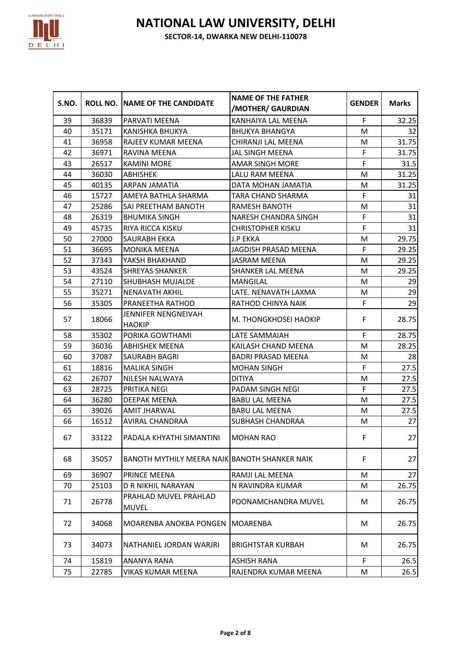

| S.NO. |       | ROLL NO. INAME OF THE CANDIDATE               | <b>NAME OF THE FATHER</b><br>/MOTHER/ GAURDIAN | <b>GENDER</b> | <b>Marks</b> |
|-------|-------|-----------------------------------------------|------------------------------------------------|---------------|--------------|
| 39    | 36839 | PARVATI MEENA                                 | KANHAIYA LAL MEENA                             | F             | 32.25        |
| 40    | 35171 | KANISHKA BHUKYA                               | <b>BHUKYA BHANGYA</b>                          | M             | 32           |
| 41    | 36958 | <b>RAJEEV KUMAR MEENA</b>                     | CHIRANJI LAL MEENA                             | M             | 31.75        |
| 42    | 36971 | RAVINA MEENA                                  | JAL SINGH MEENA                                | F             | 31.75        |
| 43    | 26517 | <b>KAMINI MORE</b>                            | <b>AMAR SINGH MORE</b>                         | F             | 31.5         |
| 44    | 36030 | <b>ABHISHEK</b>                               | LALU RAM MEENA                                 | M             | 31.25        |
| 45    | 40135 | <b>ARPAN JAMATIA</b>                          | DATA MOHAN JAMATIA                             | M             | 31.25        |
| 46    | 15727 | AMEYA BATHLA SHARMA                           | TARA CHAND SHARMA                              | F             | 31           |
| 47    | 25286 | SAI PREETHAM BANOTH                           | <b>RAMESH BANOTH</b>                           | M             | 31           |
| 48    | 26319 | <b>BHUMIKA SINGH</b>                          | <b>NARESH CHANDRA SINGH</b>                    | F             | 31           |
| 49    | 45735 | <b>RIYA RICCA KISKU</b>                       | <b>CHRISTOPHER KISKU</b>                       | F             | 31           |
| 50    | 27000 | SAURABH EKKA                                  | J.P EKKA                                       | M             | 29.75        |
| 51    | 36695 | <b>MONIKA MEENA</b>                           | <b>JAGDISH PRASAD MEENA</b>                    | F             | 29.25        |
| 52    | 37343 | YAKSH BHAKHAND                                | <b>JASRAM MEENA</b>                            | M             | 29.25        |
| 53    | 43524 | <b>SHREYAS SHANKER</b>                        | <b>SHANKER LAL MEENA</b>                       | M             | 29.25        |
| 54    | 27110 | SHUBHASH MUJALDE                              | <b>MANGILAL</b>                                | M             | 29           |
| 55    | 35271 | <b>NENAVATH AKHIL</b>                         | LATE. NENAVATH LAXMA                           | M             | 29           |
| 56    | 35305 | <b>PRANEETHA RATHOD</b>                       | RATHOD CHINYA NAIK                             | F             | 29           |
| 57    | 18066 | JENNIFER NENGNEIVAH<br><b>HAOKIP</b>          | M. THONGKHOSEI HAOKIP                          | F             | 28.75        |
| 58    | 35302 | PORIKA GOWTHAMI                               | LATE SAMMAIAH                                  | F             | 28.75        |
| 59    | 36036 | <b>ABHISHEK MEENA</b>                         | KAILASH CHAND MEENA                            | M             | 28.25        |
| 60    | 37087 | <b>SAURABH BAGRI</b>                          | <b>BADRI PRASAD MEENA</b>                      | M             | 28           |
| 61    | 18816 | <b>MALIKA SINGH</b>                           | <b>MOHAN SINGH</b>                             | F             | 27.5         |
| 62    | 26707 | NILESH NALWAYA                                | <b>DITIYA</b>                                  | M             | 27.5         |
| 63    | 28725 | <b>PRITIKA NEGI</b>                           | PADAM SINGH NEGI                               | F             | 27.5         |
| 64    | 36280 | DEEPAK MEENA                                  | <b>BABU LAL MEENA</b>                          | M             | 27.5         |
| 65    | 39026 | <b>AMIT JHARWAL</b>                           | <b>BABU LAL MEENA</b>                          | M             | 27.5         |
| 66    | 16512 | <b>AVIRAL CHANDRAA</b>                        | <b>SUBHASH CHANDRAA</b>                        | M             | 27           |
| 67    | 33122 | PADALA KHYATHI SIMANTINI                      | <b>MOHAN RAO</b>                               | F             | 27           |
| 68    | 35057 | BANOTH MYTHILY MEERA NAIK BANOTH SHANKER NAIK |                                                | F             | 27           |
| 69    | 36907 | <b>PRINCE MEENA</b>                           | RAMJI LAL MEENA                                | M             | 27           |
| 70    | 25103 | D R NIKHIL NARAYAN                            | N RAVINDRA KUMAR                               | M             | 26.75        |
| 71    | 26778 | PRAHLAD MUVEL PRAHLAD<br><b>MUVEL</b>         | POONAMCHANDRA MUVEL                            | M             | 26.75        |
| 72    | 34068 | MOARENBA ANOKBA PONGEN                        | <b>MOARENBA</b>                                | M             | 26.75        |
| 73    | 34073 | NATHANIEL JORDAN WARJRI                       | <b>BRIGHTSTAR KURBAH</b>                       | M             | 26.75        |
| 74    | 15819 | ANANYA RANA                                   | <b>ASHISH RANA</b>                             | F             | 26.5         |
| 75    | 22785 | VIKAS KUMAR MEENA                             | RAJENDRA KUMAR MEENA                           | M             | 26.5         |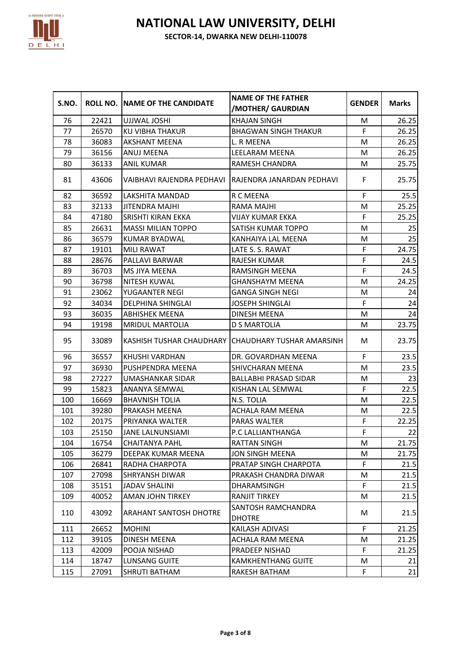

| S.NO. |       | ROLL NO. INAME OF THE CANDIDATE | <b>NAME OF THE FATHER</b><br>/MOTHER/ GAURDIAN       | <b>GENDER</b> | <b>Marks</b> |
|-------|-------|---------------------------------|------------------------------------------------------|---------------|--------------|
| 76    | 22421 | UJJWAL JOSHI                    | <b>KHAJAN SINGH</b>                                  | M             | 26.25        |
| 77    | 26570 | KU VIBHA THAKUR                 | <b>BHAGWAN SINGH THAKUR</b>                          | F             | 26.25        |
| 78    | 36083 | <b>AKSHANT MEENA</b>            | L. R MEENA                                           | M             | 26.25        |
| 79    | 36156 | ANUJ MEENA                      | LEELARAM MEENA                                       | M             | 26.25        |
| 80    | 36133 | <b>ANIL KUMAR</b>               | RAMESH CHANDRA                                       | M             | 25.75        |
| 81    | 43606 |                                 | VAIBHAVI RAJENDRA PEDHAVI TRAJENDRA JANARDAN PEDHAVI | F             | 25.75        |
| 82    | 36592 | LAKSHITA MANDAD                 | R C MEENA                                            | F             | 25.5         |
| 83    | 32133 | JITENDRA MAJHI                  | RAMA MAJHI                                           | M             | 25.25        |
| 84    | 47180 | <b>SRISHTI KIRAN EKKA</b>       | <b>VIJAY KUMAR EKKA</b>                              | F             | 25.25        |
| 85    | 26631 | <b>MASSI MILIAN TOPPO</b>       | SATISH KUMAR TOPPO                                   | M             | 25           |
| 86    | 36579 | KUMAR BYADWAL                   | KANHAIYA LAL MEENA                                   | M             | 25           |
| 87    | 19101 | <b>MILI RAWAT</b>               | LATE S. S. RAWAT                                     | F             | 24.75        |
| 88    | 28676 | PALLAVI BARWAR                  | RAJESH KUMAR                                         | F             | 24.5         |
| 89    | 36703 | MS JIYA MEENA                   | RAMSINGH MEENA                                       | F             | 24.5         |
| 90    | 36798 | <b>NITESH KUWAL</b>             | <b>GHANSHAYM MEENA</b>                               | M             | 24.25        |
| 91    | 23062 | YUGAANTER NEGI                  | <b>GANGA SINGH NEGI</b>                              | M             | 24           |
| 92    | 34034 | <b>DELPHINA SHINGLAI</b>        | <b>JOSEPH SHINGLAI</b>                               | F             | 24           |
| 93    | 36035 | <b>ABHISHEK MEENA</b>           | DINESH MEENA                                         | M             | 24           |
| 94    | 19198 | MRIDUL MARTOLIA                 | D S MARTOLIA                                         | M             | 23.75        |
| 95    | 33089 |                                 | KASHISH TUSHAR CHAUDHARY (CHAUDHARY TUSHAR AMARSINH  | M             | 23.75        |
| 96    | 36557 | KHUSHI VARDHAN                  | DR. GOVARDHAN MEENA                                  | F.            | 23.5         |
| 97    | 36930 | PUSHPENDRA MEENA                | SHIVCHARAN MEENA                                     | M             | 23.5         |
| 98    | 27227 | <b>UMASHANKAR SIDAR</b>         | <b>BALLABHI PRASAD SIDAR</b>                         | M             | 23           |
| 99    | 15823 | <b>ANANYA SEMWAL</b>            | KISHAN LAL SEMWAL                                    | F             | 22.5         |
| 100   | 16669 | <b>BHAVNISH TOLIA</b>           | N.S. TOLIA                                           | M             | 22.5         |
| 101   | 39280 | PRAKASH MEENA                   | ACHALA RAM MEENA                                     | M             | 22.5         |
| 102   | 20175 | PRIYANKA WALTER                 | PARAS WALTER                                         | F             | 22.25        |
| 103   | 25150 | <b>JANE LALNUNSIAMI</b>         | P.C LALLIANTHANGA                                    | F             | 22           |
| 104   | 16754 | <b>CHAITANYA PAHL</b>           | <b>RATTAN SINGH</b>                                  | ${\sf M}$     | 21.75        |
| 105   | 36279 | DEEPAK KUMAR MEENA              | <b>JON SINGH MEENA</b>                               | M             | 21.75        |
| 106   | 26841 | RADHA CHARPOTA                  | PRATAP SINGH CHARPOTA                                | F             | 21.5         |
| 107   | 27098 | <b>SHRYANSH DIWAR</b>           | PRAKASH CHANDRA DIWAR                                | M             | 21.5         |
| 108   | 35151 | <b>JADAV SHALINI</b>            | <b>DHARAMSINGH</b>                                   | F             | 21.5         |
| 109   | 40052 | AMAN JOHN TIRKEY                | <b>RANJIT TIRKEY</b>                                 | M             | 21.5         |
| 110   | 43092 | <b>ARAHANT SANTOSH DHOTRE</b>   | SANTOSH RAMCHANDRA<br><b>DHOTRE</b>                  | M             | 21.5         |
| 111   | 26652 | <b>MOHINI</b>                   | KAILASH ADIVASI                                      | F             | 21.25        |
| 112   | 39105 | DINESH MEENA                    | ACHALA RAM MEENA                                     | M             | 21.25        |
| 113   | 42009 | POOJA NISHAD                    | PRADEEP NISHAD                                       | F             | 21.25        |
| 114   | 18747 | <b>LUNSANG GUITE</b>            | <b>KAMKHENTHANG GUITE</b>                            | M             | 21           |
| 115   | 27091 | SHRUTI BATHAM                   | RAKESH BATHAM                                        | F             | 21           |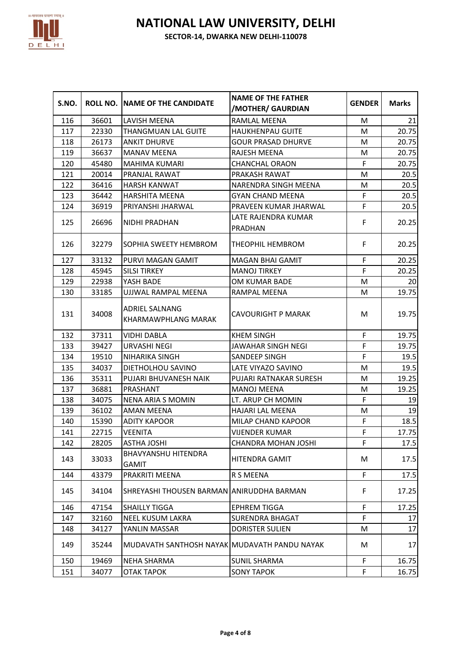

| S.NO. |       | ROLL NO. INAME OF THE CANDIDATE                     | <b>NAME OF THE FATHER</b><br>/MOTHER/ GAURDIAN | <b>GENDER</b> | <b>Marks</b> |
|-------|-------|-----------------------------------------------------|------------------------------------------------|---------------|--------------|
| 116   | 36601 | LAVISH MEENA                                        | RAMLAL MEENA                                   | M             | 21           |
| 117   | 22330 | THANGMUAN LAL GUITE                                 | <b>HAUKHENPAU GUITE</b>                        | M             | 20.75        |
| 118   | 26173 | <b>ANKIT DHURVE</b>                                 | <b>GOUR PRASAD DHURVE</b>                      | M             | 20.75        |
| 119   | 36637 | <b>MANAV MEENA</b>                                  | RAJESH MEENA                                   | M             | 20.75        |
| 120   | 45480 | <b>MAHIMA KUMARI</b>                                | <b>CHANCHAL ORAON</b>                          | F             | 20.75        |
| 121   | 20014 | PRANJAL RAWAT                                       | PRAKASH RAWAT                                  | M             | 20.5         |
| 122   | 36416 | <b>HARSH KANWAT</b>                                 | NARENDRA SINGH MEENA                           | M             | 20.5         |
| 123   | 36442 | <b>HARSHITA MEENA</b>                               | <b>GYAN CHAND MEENA</b>                        | F             | 20.5         |
| 124   | 36919 | PRIYANSHI JHARWAL                                   | PRAVEEN KUMAR JHARWAL                          | F             | 20.5         |
| 125   | 26696 | NIDHI PRADHAN                                       | LATE RAJENDRA KUMAR<br>PRADHAN                 | F             | 20.25        |
| 126   | 32279 | SOPHIA SWEETY HEMBROM                               | THEOPHIL HEMBROM                               | F             | 20.25        |
| 127   | 33132 | PURVI MAGAN GAMIT                                   | <b>MAGAN BHAI GAMIT</b>                        | F             | 20.25        |
| 128   | 45945 | <b>SILSI TIRKEY</b>                                 | <b>MANOJ TIRKEY</b>                            | F             | 20.25        |
| 129   | 22938 | YASH BADE                                           | OM KUMAR BADE                                  | M             | 20           |
| 130   | 33185 | UJJWAL RAMPAL MEENA                                 | <b>RAMPAL MEENA</b>                            | M             | 19.75        |
| 131   | 34008 | <b>ADRIEL SALNANG</b><br><b>KHARMAWPHLANG MARAK</b> | <b>CAVOURIGHT P MARAK</b>                      | M             | 19.75        |
| 132   | 37311 | <b>VIDHI DABLA</b>                                  | <b>KHEM SINGH</b>                              | F             | 19.75        |
| 133   | 39427 | URVASHI NEGI                                        | JAWAHAR SINGH NEGI                             | F             | 19.75        |
| 134   | 19510 | NIHARIKA SINGH                                      | SANDEEP SINGH                                  | F             | 19.5         |
| 135   | 34037 | DIETHOLHOU SAVINO                                   | LATE VIYAZO SAVINO                             | M             | 19.5         |
| 136   | 35311 | PUJARI BHUVANESH NAIK                               | PUJARI RATNAKAR SURESH                         | M             | 19.25        |
| 137   | 36881 | PRASHANT                                            | <b>MANOJ MEENA</b>                             | M             | 19.25        |
| 138   | 34075 | <b>NENA ARIA S MOMIN</b>                            | LT. ARUP CH MOMIN                              | F             | 19           |
| 139   | 36102 | <b>AMAN MEENA</b>                                   | HAJARI LAL MEENA                               | M             | 19           |
| 140   | 15390 | <b>ADITY KAPOOR</b>                                 | MILAP CHAND KAPOOR                             | F             | 18.5         |
| 141   | 22715 | <b>VEENITA</b>                                      | <b>VIJENDER KUMAR</b>                          | F             | 17.75        |
| 142   | 28205 | <b>ASTHA JOSHI</b>                                  | CHANDRA MOHAN JOSHI                            | F             | 17.5         |
| 143   | 33033 | <b>BHAVYANSHU HITENDRA</b><br>GAMIT                 | HITENDRA GAMIT                                 | M             | 17.5         |
| 144   | 43379 | PRAKRITI MEENA                                      | R S MEENA                                      | F             | 17.5         |
| 145   | 34104 | SHREYASHI THOUSEN BARMAN ANIRUDDHA BARMAN           |                                                | F             | 17.25        |
| 146   | 47154 | <b>SHAILLY TIGGA</b>                                | <b>EPHREM TIGGA</b>                            | F             | 17.25        |
| 147   | 32160 | NEEL KUSUM LAKRA                                    | SURENDRA BHAGAT                                | F             | 17           |
| 148   | 34127 | YANLIN MASSAR                                       | <b>DORISTER SULIEN</b>                         | M             | 17           |
| 149   | 35244 | MUDAVATH SANTHOSH NAYAK MUDAVATH PANDU NAYAK        |                                                | M             | 17           |
| 150   | 19469 | NEHA SHARMA                                         | <b>SUNIL SHARMA</b>                            | F             | 16.75        |
| 151   | 34077 | ОТАК ТАРОК                                          | <b>SONY TAPOK</b>                              | F             | 16.75        |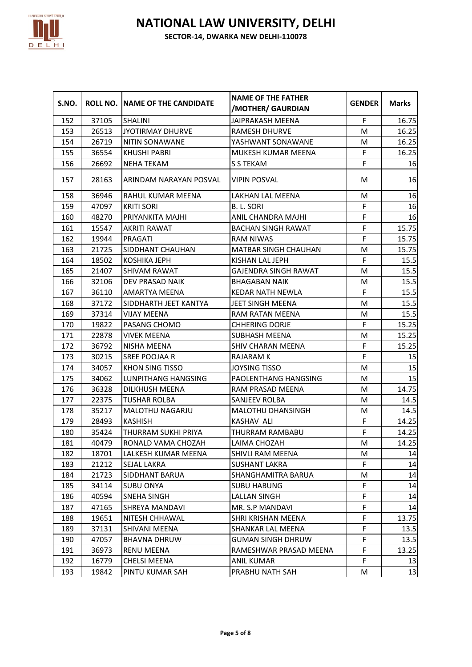

| S.NO. |       | <b>ROLL NO. NAME OF THE CANDIDATE</b> | <b>NAME OF THE FATHER</b><br>/MOTHER/ GAURDIAN | <b>GENDER</b> | <b>Marks</b> |
|-------|-------|---------------------------------------|------------------------------------------------|---------------|--------------|
| 152   | 37105 | <b>SHALINI</b>                        | JAIPRAKASH MEENA                               | F             | 16.75        |
| 153   | 26513 | JYOTIRMAY DHURVE                      | RAMESH DHURVE                                  | M             | 16.25        |
| 154   | 26719 | NITIN SONAWANE                        | YASHWANT SONAWANE                              | M             | 16.25        |
| 155   | 36554 | <b>KHUSHI PABRI</b>                   | MUKESH KUMAR MEENA                             | $\mathsf F$   | 16.25        |
| 156   | 26692 | <b>NEHA TEKAM</b>                     | S S TEKAM                                      | F             | 16           |
| 157   | 28163 | ARINDAM NARAYAN POSVAL                | <b>VIPIN POSVAL</b>                            | M             | 16           |
| 158   | 36946 | RAHUL KUMAR MEENA                     | LAKHAN LAL MEENA                               | M             | 16           |
| 159   | 47097 | <b>KRITI SORI</b>                     | B. L. SORI                                     | $\mathsf F$   | 16           |
| 160   | 48270 | PRIYANKITA MAJHI                      | ANIL CHANDRA MAJHI                             | F             | 16           |
| 161   | 15547 | <b>AKRITI RAWAT</b>                   | <b>BACHAN SINGH RAWAT</b>                      | F             | 15.75        |
| 162   | 19944 | PRAGATI                               | <b>RAM NIWAS</b>                               | F             | 15.75        |
| 163   | 21725 | SIDDHANT CHAUHAN                      | <b>MATBAR SINGH CHAUHAN</b>                    | M             | 15.75        |
| 164   | 18502 | KOSHIKA JEPH                          | KISHAN LAL JEPH                                | F             | 15.5         |
| 165   | 21407 | <b>SHIVAM RAWAT</b>                   | <b>GAJENDRA SINGH RAWAT</b>                    | M             | 15.5         |
| 166   | 32106 | DEV PRASAD NAIK                       | <b>BHAGABAN NAIK</b>                           | M             | 15.5         |
| 167   | 36110 | <b>AMARTYA MEENA</b>                  | <b>KEDAR NATH NEWLA</b>                        | $\mathsf F$   | 15.5         |
| 168   | 37172 | SIDDHARTH JEET KANTYA                 | JEET SINGH MEENA                               | M             | 15.5         |
| 169   | 37314 | <b>VIJAY MEENA</b>                    | RAM RATAN MEENA                                | M             | 15.5         |
| 170   | 19822 | PASANG CHOMO                          | <b>CHHERING DORJE</b>                          | F             | 15.25        |
| 171   | 22878 | <b>VIVEK MEENA</b>                    | <b>SUBHASH MEENA</b>                           | M             | 15.25        |
| 172   | 36792 | NISHA MEENA                           | <b>SHIV CHARAN MEENA</b>                       | F             | 15.25        |
| 173   | 30215 | SREE POOJAA R                         | RAJARAM K                                      | F             | 15           |
| 174   | 34057 | KHON SING TISSO                       | JOYSING TISSO                                  | M             | 15           |
| 175   | 34062 | <b>LUNPITHANG HANGSING</b>            | PAOLENTHANG HANGSING                           | M             | 15           |
| 176   | 36328 | DILKHUSH MEENA                        | RAM PRASAD MEENA                               | M             | 14.75        |
| 177   | 22375 | <b>TUSHAR ROLBA</b>                   | SANJEEV ROLBA                                  | M             | 14.5         |
| 178   | 35217 | MALOTHU NAGARJU                       | MALOTHU DHANSINGH                              | M             | 14.5         |
| 179   | 28493 | <b>KASHISH</b>                        | <b>KASHAV ALI</b>                              | $\mathsf F$   | 14.25        |
| 180   | 35424 | THURRAM SUKHI PRIYA                   | THURRAM RAMBABU                                | F             | 14.25        |
| 181   | 40479 | RONALD VAMA CHOZAH                    | LAIMA CHOZAH                                   | M             | 14.25        |
| 182   | 18701 | LALKESH KUMAR MEENA                   | <b>SHIVLI RAM MEENA</b>                        | M             | 14           |
| 183   | 21212 | SEJAL LAKRA                           | <b>SUSHANT LAKRA</b>                           | F             | 14           |
| 184   | 21723 | SIDDHANT BARUA                        | <b>SHANGHAMITRA BARUA</b>                      | M             | 14           |
| 185   | 34114 | <b>SUBU ONYA</b>                      | <b>SUBU HABUNG</b>                             | F             | 14           |
| 186   | 40594 | <b>SNEHA SINGH</b>                    | LALLAN SINGH                                   | F             | 14           |
| 187   | 47165 | SHREYA MANDAVI                        | MR. S.P MANDAVI                                | F             | 14           |
| 188   | 19651 | NITESH CHHAWAL                        | SHRI KRISHAN MEENA                             | F             | 13.75        |
| 189   | 37131 | SHIVANI MEENA                         | SHANKAR LAL MEENA                              | F             | 13.5         |
| 190   | 47057 | <b>BHAVNA DHRUW</b>                   | <b>GUMAN SINGH DHRUW</b>                       | F             | 13.5         |
| 191   | 36973 | RENU MEENA                            | RAMESHWAR PRASAD MEENA                         | F             | 13.25        |
| 192   | 16779 | CHELSI MEENA                          | ANIL KUMAR                                     | F             | 13           |
| 193   | 19842 | PINTU KUMAR SAH                       | PRABHU NATH SAH                                | M             | 13           |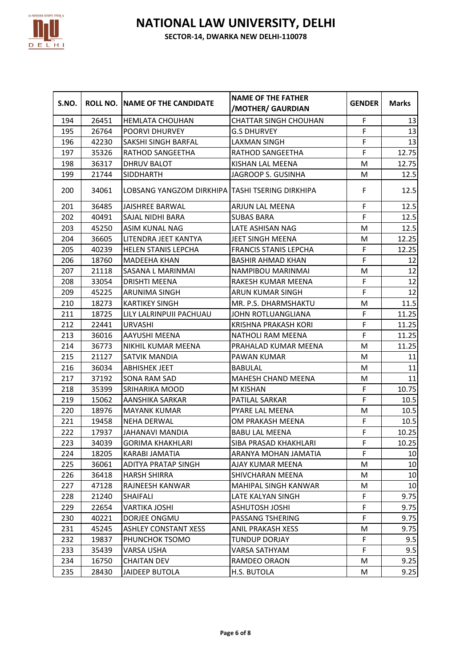

| S.NO. |       | <b>ROLL NO.   NAME OF THE CANDIDATE</b>         | <b>NAME OF THE FATHER</b><br>/MOTHER/ GAURDIAN | <b>GENDER</b> | <b>Marks</b> |
|-------|-------|-------------------------------------------------|------------------------------------------------|---------------|--------------|
| 194   | 26451 | <b>HEMLATA CHOUHAN</b>                          | <b>CHATTAR SINGH CHOUHAN</b>                   | F             | 13           |
| 195   | 26764 | <b>POORVI DHURVEY</b>                           | <b>G.S DHURVEY</b>                             | F             | 13           |
| 196   | 42230 | <b>SAKSHI SINGH BARFAL</b>                      | LAXMAN SINGH                                   | F             | 13           |
| 197   | 35326 | RATHOD SANGEETHA                                | RATHOD SANGEETHA                               | $\mathsf F$   | 12.75        |
| 198   | 36317 | DHRUV BALOT                                     | KISHAN LAL MEENA                               | M             | 12.75        |
| 199   | 21744 | <b>SIDDHARTH</b>                                | JAGROOP S. GUSINHA                             | M             | 12.5         |
| 200   | 34061 | LOBSANG YANGZOM DIRKHIPA TASHI TSERING DIRKHIPA |                                                | F             | 12.5         |
| 201   | 36485 | JAISHREE BARWAL                                 | ARJUN LAL MEENA                                | F             | 12.5         |
| 202   | 40491 | <b>SAJAL NIDHI BARA</b>                         | <b>SUBAS BARA</b>                              | F             | 12.5         |
| 203   | 45250 | <b>ASIM KUNAL NAG</b>                           | LATE ASHISAN NAG                               | M             | 12.5         |
| 204   | 36605 | LITENDRA JEET KANTYA                            | JEET SINGH MEENA                               | M             | 12.25        |
| 205   | 40239 | <b>HELEN STANIS LEPCHA</b>                      | <b>FRANCIS STANIS LEPCHA</b>                   | $\mathsf F$   | 12.25        |
| 206   | 18760 | MADEEHA KHAN                                    | <b>BASHIR AHMAD KHAN</b>                       | F             | 12           |
| 207   | 21118 | SASANA L MARINMAI                               | NAMPIBOU MARINMAI                              | M             | 12           |
| 208   | 33054 | <b>DRISHTI MEENA</b>                            | RAKESH KUMAR MEENA                             | F             | 12           |
| 209   | 45225 | <b>ARUNIMA SINGH</b>                            | ARUN KUMAR SINGH                               | $\mathsf F$   | 12           |
| 210   | 18273 | <b>KARTIKEY SINGH</b>                           | MR. P.S. DHARMSHAKTU                           | M             | 11.5         |
| 211   | 18725 | LILY LALRINPUII PACHUAU                         | JOHN ROTLUANGLIANA                             | $\mathsf F$   | 11.25        |
| 212   | 22441 | <b>URVASHI</b>                                  | KRISHNA PRAKASH KORI                           | $\mathsf F$   | 11.25        |
| 213   | 36016 | AAYUSHI MEENA                                   | NATHOLI RAM MEENA                              | $\mathsf F$   | 11.25        |
| 214   | 36773 | NIKHIL KUMAR MEENA                              | PRAHALAD KUMAR MEENA                           | M             | 11.25        |
| 215   | 21127 | SATVIK MANDIA                                   | PAWAN KUMAR                                    | M             | 11           |
| 216   | 36034 | <b>ABHISHEK JEET</b>                            | <b>BABULAL</b>                                 | M             | 11           |
| 217   | 37192 | <b>SONA RAM SAD</b>                             | MAHESH CHAND MEENA                             | M             | 11           |
| 218   | 35399 | <b>SRIHARIKA MOOD</b>                           | M KISHAN                                       | F             | 10.75        |
| 219   | 15062 | AANSHIKA SARKAR                                 | PATILAL SARKAR                                 | F             | 10.5         |
| 220   | 18976 | <b>MAYANK KUMAR</b>                             | PYARE LAL MEENA                                | M             | 10.5         |
| 221   | 19458 | <b>NEHA DERWAL</b>                              | OM PRAKASH MEENA                               | $\mathsf F$   | 10.5         |
| 222   | 17937 | JAHANAVI MANDIA                                 | <b>BABU LAL MEENA</b>                          | F             | 10.25        |
| 223   | 34039 | <b>GORIMA KHAKHLARI</b>                         | SIBA PRASAD KHAKHLARI                          | F             | 10.25        |
| 224   | 18205 | KARABI JAMATIA                                  | ARANYA MOHAN JAMATIA                           | F             | 10           |
| 225   | 36061 | ADITYA PRATAP SINGH                             | AJAY KUMAR MEENA                               | M             | 10           |
| 226   | 36418 | HARSH SHIRRA                                    | SHIVCHARAN MEENA                               | M             | 10           |
| 227   | 47128 | RAJNEESH KANWAR                                 | MAHIPAL SINGH KANWAR                           | M             | 10           |
| 228   | 21240 | <b>SHAIFALI</b>                                 | LATE KALYAN SINGH                              | $\mathsf F$   | 9.75         |
| 229   | 22654 | VARTIKA JOSHI                                   | <b>ASHUTOSH JOSHI</b>                          | F             | 9.75         |
| 230   | 40221 | DORJEE ONGMU                                    | PASSANG TSHERING                               | F             | 9.75         |
| 231   | 45245 | <b>ASHLEY CONSTANT XESS</b>                     | ANIL PRAKASH XESS                              | M             | 9.75         |
| 232   | 19837 | PHUNCHOK TSOMO                                  | TUNDUP DORJAY                                  | $\mathsf F$   | 9.5          |
| 233   | 35439 | VARSA USHA                                      | VARSA SATHYAM                                  | F             | 9.5          |
| 234   | 16750 | <b>CHAITAN DEV</b>                              | RAMDEO ORAON                                   | M             | 9.25         |
| 235   | 28430 | JAIDEEP BUTOLA                                  | H.S. BUTOLA                                    | M             | 9.25         |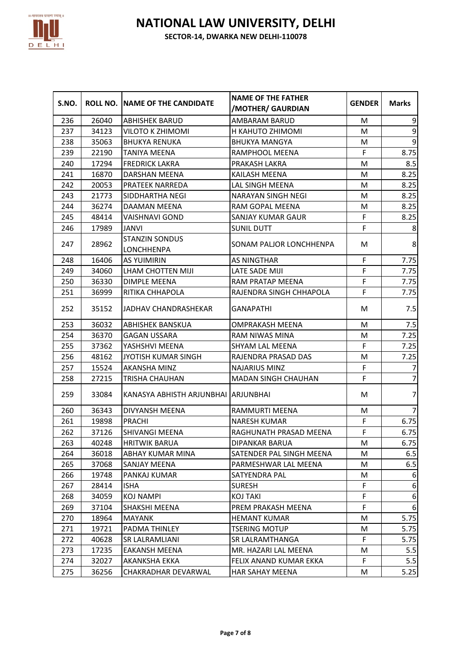

| S.NO. |       | ROLL NO. INAME OF THE CANDIDATE            | <b>NAME OF THE FATHER</b><br>/MOTHER/ GAURDIAN | <b>GENDER</b> | <b>Marks</b>     |
|-------|-------|--------------------------------------------|------------------------------------------------|---------------|------------------|
| 236   | 26040 | <b>ABHISHEK BARUD</b>                      | AMBARAM BARUD                                  | M             | 9                |
| 237   | 34123 | VILOTO K ZHIMOMI                           | H KAHUTO ZHIMOMI                               | M             | $\boldsymbol{9}$ |
| 238   | 35063 | <b>BHUKYA RENUKA</b>                       | <b>BHUKYA MANGYA</b>                           | M             | 9                |
| 239   | 22190 | TANIYA MEENA                               | RAMPHOOL MEENA                                 | $\mathsf F$   | 8.75             |
| 240   | 17294 | <b>FREDRICK LAKRA</b>                      | PRAKASH LAKRA                                  | M             | 8.5              |
| 241   | 16870 | DARSHAN MEENA                              | KAILASH MEENA                                  | M             | 8.25             |
| 242   | 20053 | PRATEEK NARREDA                            | LAL SINGH MEENA                                | M             | 8.25             |
| 243   | 21773 | SIDDHARTHA NEGI                            | NARAYAN SINGH NEGI                             | M             | 8.25             |
| 244   | 36274 | DAAMAN MEENA                               | RAM GOPAL MEENA                                | M             | 8.25             |
| 245   | 48414 | VAISHNAVI GOND                             | SANJAY KUMAR GAUR                              | $\mathsf F$   | 8.25             |
| 246   | 17989 | <b>JANVI</b>                               | <b>SUNIL DUTT</b>                              | F             | 8                |
| 247   | 28962 | <b>STANZIN SONDUS</b><br><b>LONCHHENPA</b> | SONAM PALJOR LONCHHENPA                        | M             | 8                |
| 248   | 16406 | <b>AS YUIMIRIN</b>                         | AS NINGTHAR                                    | F             | 7.75             |
| 249   | 34060 | LHAM CHOTTEN MIJI                          | LATE SADE MIJI                                 | F             | 7.75             |
| 250   | 36330 | DIMPLE MEENA                               | RAM PRATAP MEENA                               | $\mathsf F$   | 7.75             |
| 251   | 36999 | RITIKA CHHAPOLA                            | RAJENDRA SINGH CHHAPOLA                        | F             | 7.75             |
| 252   | 35152 | <b>JADHAV CHANDRASHEKAR</b>                | GANAPATHI                                      | M             | 7.5              |
| 253   | 36032 | <b>ABHISHEK BANSKUA</b>                    | OMPRAKASH MEENA                                | M             | 7.5              |
| 254   | 36370 | <b>GAGAN USSARA</b>                        | RAM NIWAS MINA                                 | M             | 7.25             |
| 255   | 37362 | YASHSHVI MEENA                             | SHYAM LAL MEENA                                | F             | 7.25             |
| 256   | 48162 | JYOTISH KUMAR SINGH                        | RAJENDRA PRASAD DAS                            | M             | 7.25             |
| 257   | 15524 | AKANSHA MINZ                               | <b>NAJARIUS MINZ</b>                           | F             | 7                |
| 258   | 27215 | TRISHA CHAUHAN                             | MADAN SINGH CHAUHAN                            | F             | $\overline{7}$   |
| 259   | 33084 | KANASYA ABHISTH ARJUNBHAI ARJUNBHAI        |                                                | M             | 7                |
| 260   | 36343 | DIVYANSH MEENA                             | RAMMURTI MEENA                                 | M             | 7                |
| 261   | 19898 | <b>PRACHI</b>                              | <b>NARESH KUMAR</b>                            | $\mathsf F$   | 6.75             |
| 262   | 37126 | SHIVANGI MEENA                             | RAGHUNATH PRASAD MEENA                         | F             | 6.75             |
| 263   | 40248 | <b>HRITWIK BARUA</b>                       | DIPANKAR BARUA                                 | M             | 6.75             |
| 264   | 36018 | ABHAY KUMAR MINA                           | SATENDER PAL SINGH MEENA                       | M             | 6.5              |
| 265   | 37068 | <b>SANJAY MEENA</b>                        | PARMESHWAR LAL MEENA                           | M             | 6.5              |
| 266   | 19748 | PANKAJ KUMAR                               | SATYENDRA PAL                                  | M             | 6                |
| 267   | 28414 | ISHA                                       | <b>SURESH</b>                                  | F             | 6                |
| 268   | 34059 | KOJ NAMPI                                  | KOJ TAKI                                       | F             | 6                |
| 269   | 37104 | SHAKSHI MEENA                              | PREM PRAKASH MEENA                             | F             | 6                |
| 270   | 18964 | MAYANK                                     | <b>HEMANT KUMAR</b>                            | M             | 5.75             |
| 271   | 19721 | PADMA THINLEY                              | TSERING MOTUP                                  | M             | 5.75             |
| 272   | 40628 | SR LALRAMLIANI                             | SR LALRAMTHANGA                                | F             | 5.75             |
| 273   | 17235 | EAKANSH MEENA                              | MR. HAZARI LAL MEENA                           | M             | 5.5              |
| 274   | 32027 | AKANKSHA EKKA                              | FELIX ANAND KUMAR EKKA                         | F             | 5.5              |
| 275   | 36256 | CHAKRADHAR DEVARWAL                        | HAR SAHAY MEENA                                | M             | 5.25             |